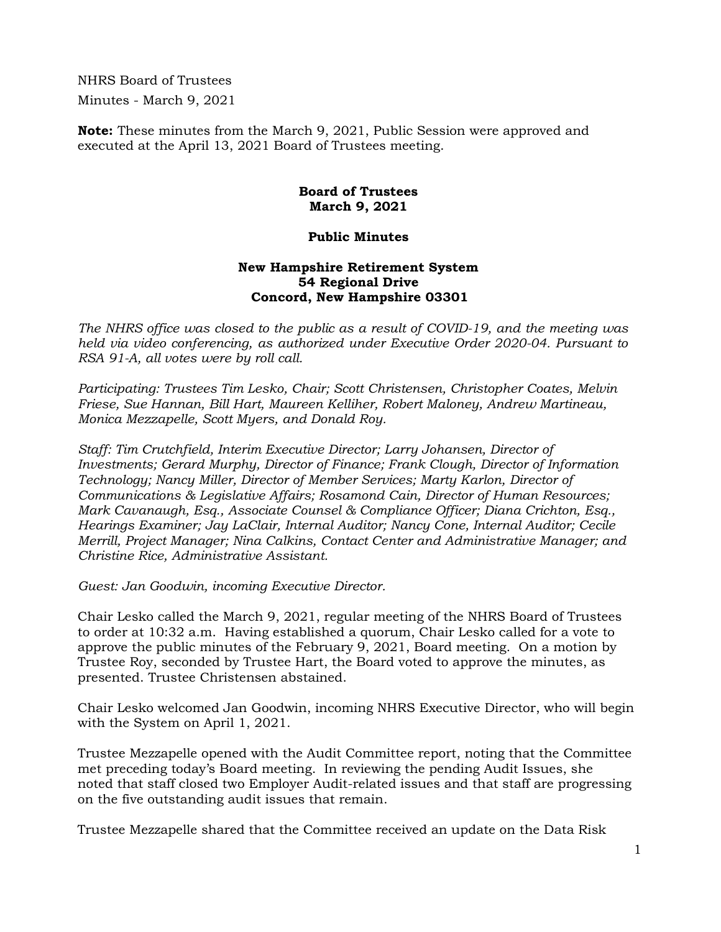NHRS Board of Trustees Minutes - March 9, 2021

**Note:** These minutes from the March 9, 2021, Public Session were approved and executed at the April 13, 2021 Board of Trustees meeting.

## **Board of Trustees March 9, 2021**

## **Public Minutes**

## **New Hampshire Retirement System 54 Regional Drive Concord, New Hampshire 03301**

*The NHRS office was closed to the public as a result of COVID-19, and the meeting was held via video conferencing, as authorized under Executive Order 2020-04. Pursuant to RSA 91-A, all votes were by roll call.*

*Participating: Trustees Tim Lesko, Chair; Scott Christensen, Christopher Coates, Melvin Friese, Sue Hannan, Bill Hart, Maureen Kelliher, Robert Maloney, Andrew Martineau, Monica Mezzapelle, Scott Myers, and Donald Roy.*

*Staff: Tim Crutchfield, Interim Executive Director; Larry Johansen, Director of Investments; Gerard Murphy, Director of Finance; Frank Clough, Director of Information Technology; Nancy Miller, Director of Member Services; Marty Karlon, Director of Communications & Legislative Affairs; Rosamond Cain, Director of Human Resources; Mark Cavanaugh, Esq., Associate Counsel & Compliance Officer; Diana Crichton, Esq., Hearings Examiner; Jay LaClair, Internal Auditor; Nancy Cone, Internal Auditor; Cecile Merrill, Project Manager; Nina Calkins, Contact Center and Administrative Manager; and Christine Rice, Administrative Assistant.*

*Guest: Jan Goodwin, incoming Executive Director.*

Chair Lesko called the March 9, 2021, regular meeting of the NHRS Board of Trustees to order at 10:32 a.m. Having established a quorum, Chair Lesko called for a vote to approve the public minutes of the February 9, 2021, Board meeting. On a motion by Trustee Roy, seconded by Trustee Hart, the Board voted to approve the minutes, as presented. Trustee Christensen abstained.

Chair Lesko welcomed Jan Goodwin, incoming NHRS Executive Director, who will begin with the System on April 1, 2021.

Trustee Mezzapelle opened with the Audit Committee report, noting that the Committee met preceding today's Board meeting. In reviewing the pending Audit Issues, she noted that staff closed two Employer Audit-related issues and that staff are progressing on the five outstanding audit issues that remain.

Trustee Mezzapelle shared that the Committee received an update on the Data Risk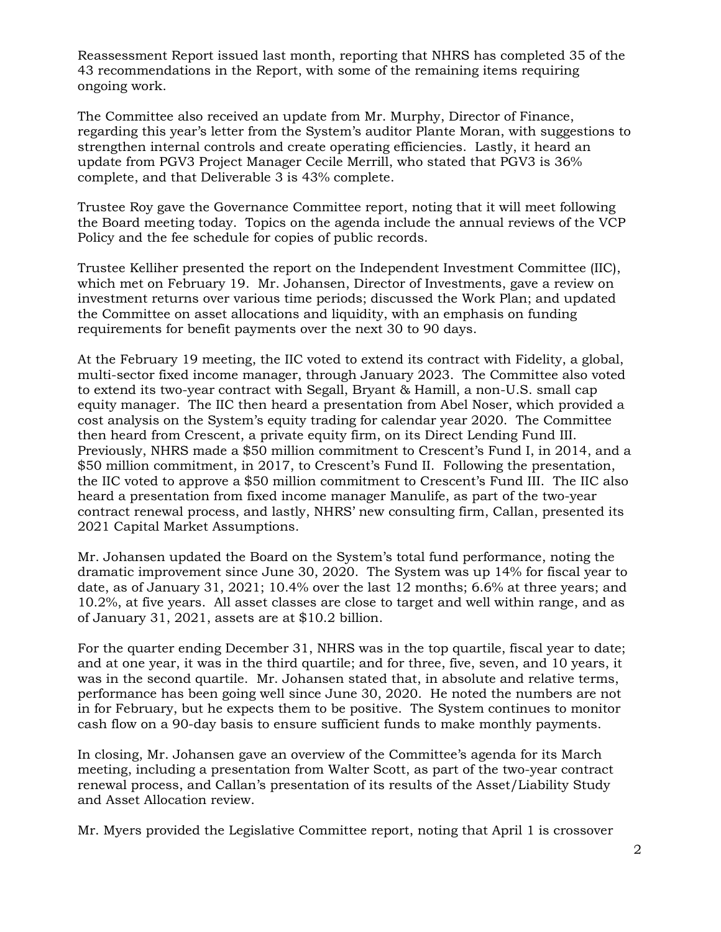Reassessment Report issued last month, reporting that NHRS has completed 35 of the 43 recommendations in the Report, with some of the remaining items requiring ongoing work.

The Committee also received an update from Mr. Murphy, Director of Finance, regarding this year's letter from the System's auditor Plante Moran, with suggestions to strengthen internal controls and create operating efficiencies. Lastly, it heard an update from PGV3 Project Manager Cecile Merrill, who stated that PGV3 is 36% complete, and that Deliverable 3 is 43% complete.

Trustee Roy gave the Governance Committee report, noting that it will meet following the Board meeting today. Topics on the agenda include the annual reviews of the VCP Policy and the fee schedule for copies of public records.

Trustee Kelliher presented the report on the Independent Investment Committee (IIC), which met on February 19. Mr. Johansen, Director of Investments, gave a review on investment returns over various time periods; discussed the Work Plan; and updated the Committee on asset allocations and liquidity, with an emphasis on funding requirements for benefit payments over the next 30 to 90 days.

At the February 19 meeting, the IIC voted to extend its contract with Fidelity, a global, multi-sector fixed income manager, through January 2023. The Committee also voted to extend its two-year contract with Segall, Bryant & Hamill, a non-U.S. small cap equity manager. The IIC then heard a presentation from Abel Noser, which provided a cost analysis on the System's equity trading for calendar year 2020. The Committee then heard from Crescent, a private equity firm, on its Direct Lending Fund III. Previously, NHRS made a \$50 million commitment to Crescent's Fund I, in 2014, and a \$50 million commitment, in 2017, to Crescent's Fund II. Following the presentation, the IIC voted to approve a \$50 million commitment to Crescent's Fund III. The IIC also heard a presentation from fixed income manager Manulife, as part of the two-year contract renewal process, and lastly, NHRS' new consulting firm, Callan, presented its 2021 Capital Market Assumptions.

Mr. Johansen updated the Board on the System's total fund performance, noting the dramatic improvement since June 30, 2020. The System was up 14% for fiscal year to date, as of January 31, 2021; 10.4% over the last 12 months; 6.6% at three years; and 10.2%, at five years. All asset classes are close to target and well within range, and as of January 31, 2021, assets are at \$10.2 billion.

For the quarter ending December 31, NHRS was in the top quartile, fiscal year to date; and at one year, it was in the third quartile; and for three, five, seven, and 10 years, it was in the second quartile. Mr. Johansen stated that, in absolute and relative terms, performance has been going well since June 30, 2020. He noted the numbers are not in for February, but he expects them to be positive. The System continues to monitor cash flow on a 90-day basis to ensure sufficient funds to make monthly payments.

In closing, Mr. Johansen gave an overview of the Committee's agenda for its March meeting, including a presentation from Walter Scott, as part of the two-year contract renewal process, and Callan's presentation of its results of the Asset/Liability Study and Asset Allocation review.

Mr. Myers provided the Legislative Committee report, noting that April 1 is crossover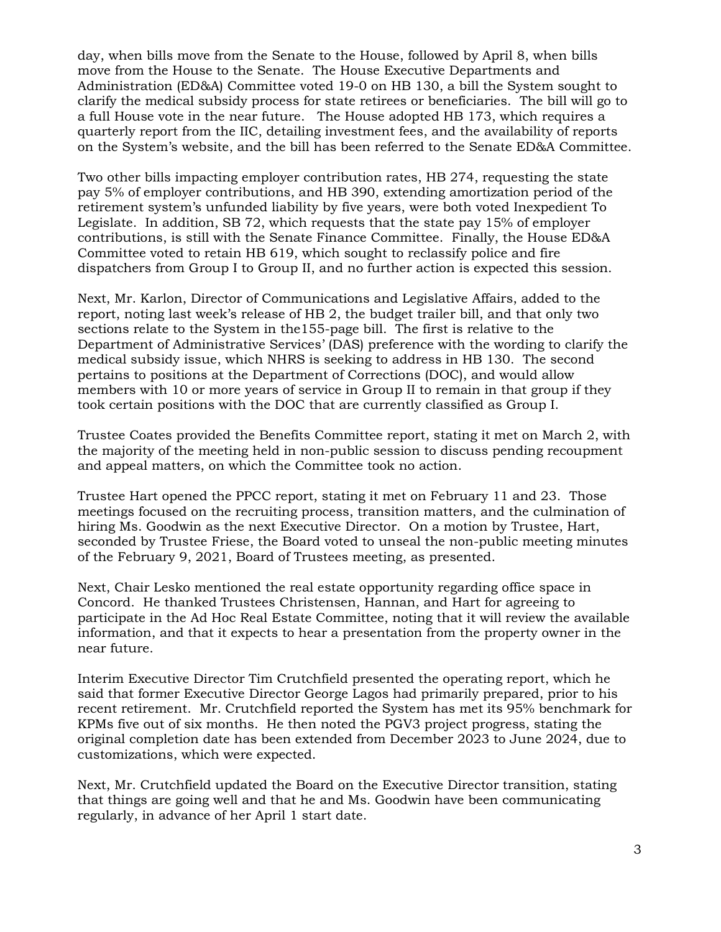day, when bills move from the Senate to the House, followed by April 8, when bills move from the House to the Senate. The House Executive Departments and Administration (ED&A) Committee voted 19-0 on HB 130, a bill the System sought to clarify the medical subsidy process for state retirees or beneficiaries. The bill will go to a full House vote in the near future. The House adopted HB 173, which requires a quarterly report from the IIC, detailing investment fees, and the availability of reports on the System's website, and the bill has been referred to the Senate ED&A Committee.

Two other bills impacting employer contribution rates, HB 274, requesting the state pay 5% of employer contributions, and HB 390, extending amortization period of the retirement system's unfunded liability by five years, were both voted Inexpedient To Legislate. In addition, SB 72, which requests that the state pay 15% of employer contributions, is still with the Senate Finance Committee. Finally, the House ED&A Committee voted to retain HB 619, which sought to reclassify police and fire dispatchers from Group I to Group II, and no further action is expected this session.

Next, Mr. Karlon, Director of Communications and Legislative Affairs, added to the report, noting last week's release of HB 2, the budget trailer bill, and that only two sections relate to the System in the155-page bill. The first is relative to the Department of Administrative Services' (DAS) preference with the wording to clarify the medical subsidy issue, which NHRS is seeking to address in HB 130. The second pertains to positions at the Department of Corrections (DOC), and would allow members with 10 or more years of service in Group II to remain in that group if they took certain positions with the DOC that are currently classified as Group I.

Trustee Coates provided the Benefits Committee report, stating it met on March 2, with the majority of the meeting held in non-public session to discuss pending recoupment and appeal matters, on which the Committee took no action.

Trustee Hart opened the PPCC report, stating it met on February 11 and 23. Those meetings focused on the recruiting process, transition matters, and the culmination of hiring Ms. Goodwin as the next Executive Director. On a motion by Trustee, Hart, seconded by Trustee Friese, the Board voted to unseal the non-public meeting minutes of the February 9, 2021, Board of Trustees meeting, as presented.

Next, Chair Lesko mentioned the real estate opportunity regarding office space in Concord. He thanked Trustees Christensen, Hannan, and Hart for agreeing to participate in the Ad Hoc Real Estate Committee, noting that it will review the available information, and that it expects to hear a presentation from the property owner in the near future.

Interim Executive Director Tim Crutchfield presented the operating report, which he said that former Executive Director George Lagos had primarily prepared, prior to his recent retirement. Mr. Crutchfield reported the System has met its 95% benchmark for KPMs five out of six months. He then noted the PGV3 project progress, stating the original completion date has been extended from December 2023 to June 2024, due to customizations, which were expected.

Next, Mr. Crutchfield updated the Board on the Executive Director transition, stating that things are going well and that he and Ms. Goodwin have been communicating regularly, in advance of her April 1 start date.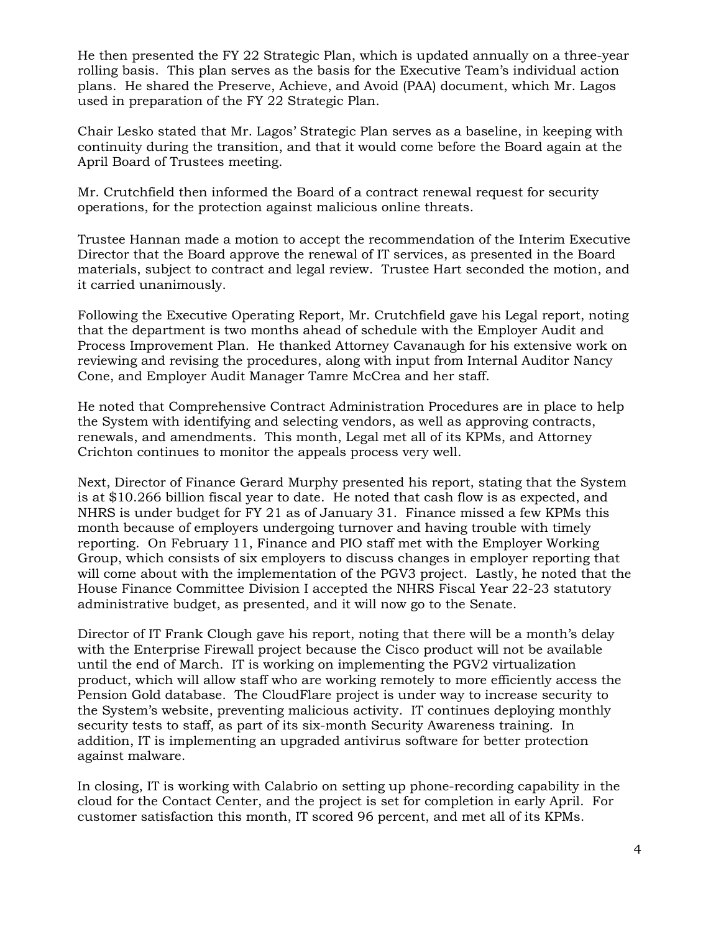He then presented the FY 22 Strategic Plan, which is updated annually on a three-year rolling basis. This plan serves as the basis for the Executive Team's individual action plans. He shared the Preserve, Achieve, and Avoid (PAA) document, which Mr. Lagos used in preparation of the FY 22 Strategic Plan.

Chair Lesko stated that Mr. Lagos' Strategic Plan serves as a baseline, in keeping with continuity during the transition, and that it would come before the Board again at the April Board of Trustees meeting.

Mr. Crutchfield then informed the Board of a contract renewal request for security operations, for the protection against malicious online threats.

Trustee Hannan made a motion to accept the recommendation of the Interim Executive Director that the Board approve the renewal of IT services, as presented in the Board materials, subject to contract and legal review. Trustee Hart seconded the motion, and it carried unanimously.

Following the Executive Operating Report, Mr. Crutchfield gave his Legal report, noting that the department is two months ahead of schedule with the Employer Audit and Process Improvement Plan. He thanked Attorney Cavanaugh for his extensive work on reviewing and revising the procedures, along with input from Internal Auditor Nancy Cone, and Employer Audit Manager Tamre McCrea and her staff.

He noted that Comprehensive Contract Administration Procedures are in place to help the System with identifying and selecting vendors, as well as approving contracts, renewals, and amendments. This month, Legal met all of its KPMs, and Attorney Crichton continues to monitor the appeals process very well.

Next, Director of Finance Gerard Murphy presented his report, stating that the System is at \$10.266 billion fiscal year to date. He noted that cash flow is as expected, and NHRS is under budget for FY 21 as of January 31. Finance missed a few KPMs this month because of employers undergoing turnover and having trouble with timely reporting. On February 11, Finance and PIO staff met with the Employer Working Group, which consists of six employers to discuss changes in employer reporting that will come about with the implementation of the PGV3 project. Lastly, he noted that the House Finance Committee Division I accepted the NHRS Fiscal Year 22-23 statutory administrative budget, as presented, and it will now go to the Senate.

Director of IT Frank Clough gave his report, noting that there will be a month's delay with the Enterprise Firewall project because the Cisco product will not be available until the end of March. IT is working on implementing the PGV2 virtualization product, which will allow staff who are working remotely to more efficiently access the Pension Gold database. The CloudFlare project is under way to increase security to the System's website, preventing malicious activity. IT continues deploying monthly security tests to staff, as part of its six-month Security Awareness training. In addition, IT is implementing an upgraded antivirus software for better protection against malware.

In closing, IT is working with Calabrio on setting up phone-recording capability in the cloud for the Contact Center, and the project is set for completion in early April. For customer satisfaction this month, IT scored 96 percent, and met all of its KPMs.